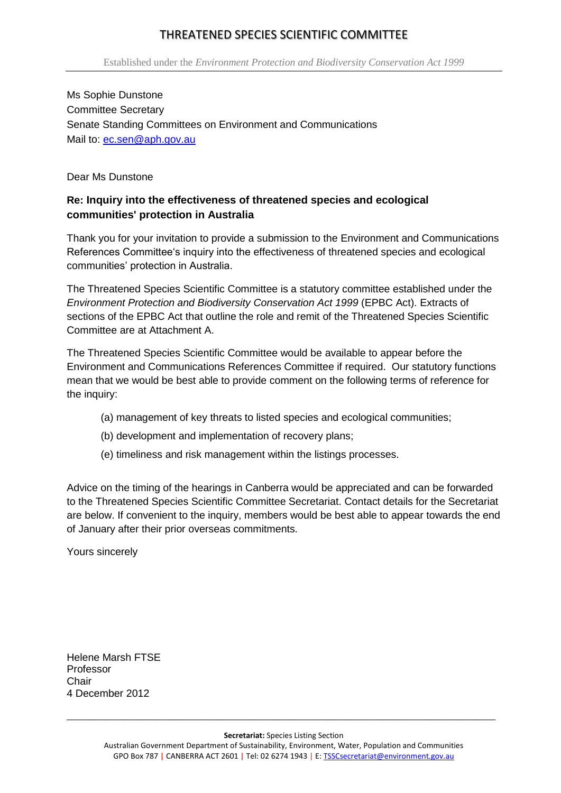# THREATENED SPECIES SCIENTIFIC COMMITTEE

Ms Sophie Dunstone Committee Secretary Senate Standing Committees on Environment and Communications Mail to: ec.sen@aph.gov.au

Dear Ms Dunstone

# **Re: Inquiry into the effectiveness of threatened species and ecological communities' protection in Australia**

Thank you for your invitation to provide a submission to the Environment and Communications References Committee's inquiry into the effectiveness of threatened species and ecological communities' protection in Australia.

The Threatened Species Scientific Committee is a statutory committee established under the *Environment Protection and Biodiversity Conservation Act 1999* (EPBC Act). Extracts of sections of the EPBC Act that outline the role and remit of the Threatened Species Scientific Committee are at Attachment A.

The Threatened Species Scientific Committee would be available to appear before the Environment and Communications References Committee if required. Our statutory functions mean that we would be best able to provide comment on the following terms of reference for the inquiry:

- (a) management of key threats to listed species and ecological communities;
- (b) development and implementation of recovery plans;
- (e) timeliness and risk management within the listings processes.

Advice on the timing of the hearings in Canberra would be appreciated and can be forwarded to the Threatened Species Scientific Committee Secretariat. Contact details for the Secretariat are below. If convenient to the inquiry, members would be best able to appear towards the end of January after their prior overseas commitments.

Yours sincerely

Helene Marsh FTSE Professor **Chair** 4 December 2012

**Secretariat:** Species Listing Section

 $\overline{a_1}$  ,  $\overline{a_2}$  ,  $\overline{a_3}$  ,  $\overline{a_4}$  ,  $\overline{a_5}$  ,  $\overline{a_6}$  ,  $\overline{a_7}$  ,  $\overline{a_8}$  ,  $\overline{a_9}$  ,  $\overline{a_9}$  ,  $\overline{a_9}$  ,  $\overline{a_9}$  ,  $\overline{a_9}$  ,  $\overline{a_9}$  ,  $\overline{a_9}$  ,  $\overline{a_9}$  ,  $\overline{a_9}$  ,

Australian Government Department of Sustainability, Environment, Water, Population and Communities GPO Box 787 | CANBERRA ACT 2601 | Tel: 02 6274 1943 | E: TSSCsecretariat@environment.gov.au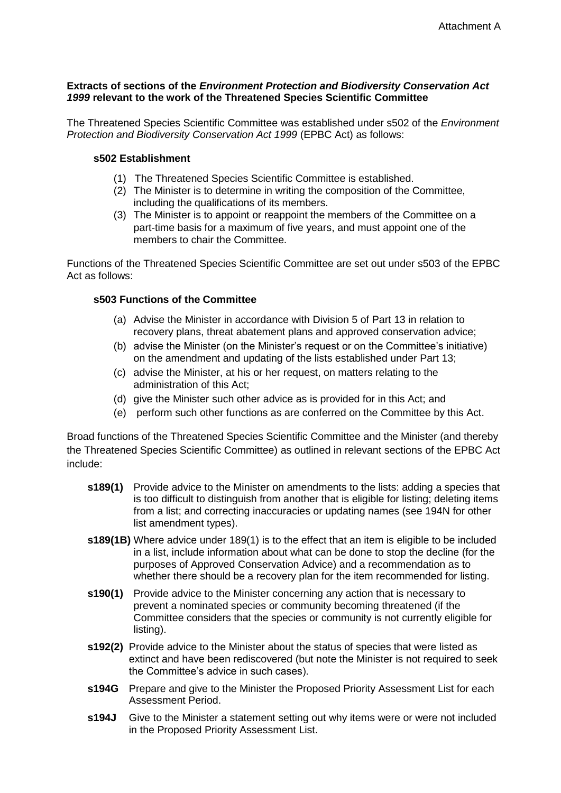## **Extracts of sections of the** *Environment Protection and Biodiversity Conservation Act 1999* **relevant to the work of the Threatened Species Scientific Committee**

The Threatened Species Scientific Committee was established under s502 of the *Environment Protection and Biodiversity Conservation Act 1999* (EPBC Act) as follows:

### **s502 Establishment**

- (1) The Threatened Species Scientific Committee is established.
- (2) The Minister is to determine in writing the composition of the Committee, including the qualifications of its members.
- (3) The Minister is to appoint or reappoint the members of the Committee on a part-time basis for a maximum of five years, and must appoint one of the members to chair the Committee.

Functions of the Threatened Species Scientific Committee are set out under s503 of the EPBC Act as follows:

### **s503 Functions of the Committee**

- (a) Advise the Minister in accordance with Division 5 of Part 13 in relation to recovery plans, threat abatement plans and approved conservation advice;
- (b) advise the Minister (on the Minister's request or on the Committee's initiative) on the amendment and updating of the lists established under Part 13;
- (c) advise the Minister, at his or her request, on matters relating to the administration of this Act;
- (d) give the Minister such other advice as is provided for in this Act; and
- (e) perform such other functions as are conferred on the Committee by this Act.

Broad functions of the Threatened Species Scientific Committee and the Minister (and thereby the Threatened Species Scientific Committee) as outlined in relevant sections of the EPBC Act include:

- **s189(1)** Provide advice to the Minister on amendments to the lists: adding a species that is too difficult to distinguish from another that is eligible for listing; deleting items from a list; and correcting inaccuracies or updating names (see 194N for other list amendment types).
- **s189(1B)** Where advice under 189(1) is to the effect that an item is eligible to be included in a list, include information about what can be done to stop the decline (for the purposes of Approved Conservation Advice) and a recommendation as to whether there should be a recovery plan for the item recommended for listing.
- **s190(1)** Provide advice to the Minister concerning any action that is necessary to prevent a nominated species or community becoming threatened (if the Committee considers that the species or community is not currently eligible for listing).
- **s192(2)** Provide advice to the Minister about the status of species that were listed as extinct and have been rediscovered (but note the Minister is not required to seek the Committee's advice in such cases).
- **s194G** Prepare and give to the Minister the Proposed Priority Assessment List for each Assessment Period.
- **s194J** Give to the Minister a statement setting out why items were or were not included in the Proposed Priority Assessment List.